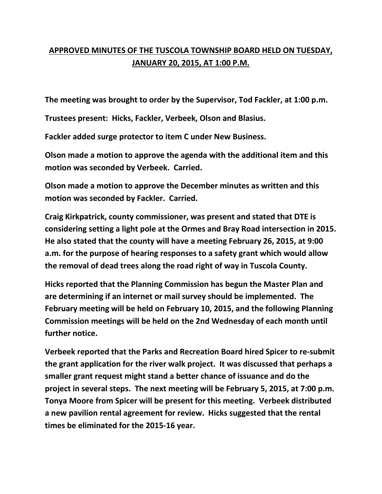## **APPROVED MINUTES OF THE TUSCOLA TOWNSHIP BOARD HELD ON TUESDAY, JANUARY 20, 2015, AT 1:00 P.M.**

**The meeting was brought to order by the Supervisor, Tod Fackler, at 1:00 p.m.** 

**Trustees present: Hicks, Fackler, Verbeek, Olson and Blasius.** 

**Fackler added surge protector to item C under New Business.** 

**Olson made a motion to approve the agenda with the additional item and this motion was seconded by Verbeek. Carried.** 

**Olson made a motion to approve the December minutes as written and this motion was seconded by Fackler. Carried.** 

**Craig Kirkpatrick, county commissioner, was present and stated that DTE is considering setting a light pole at the Ormes and Bray Road intersection in 2015. He also stated that the county will have a meeting February 26, 2015, at 9:00 a.m. for the purpose of hearing responses to a safety grant which would allow the removal of dead trees along the road right of way in Tuscola County.** 

**Hicks reported that the Planning Commission has begun the Master Plan and are determining if an internet or mail survey should be implemented. The February meeting will be held on February 10, 2015, and the following Planning Commission meetings will be held on the 2nd Wednesday of each month until further notice.** 

**Verbeek reported that the Parks and Recreation Board hired Spicer to re-submit the grant application for the river walk project. It was discussed that perhaps a smaller grant request might stand a better chance of issuance and do the project in several steps. The next meeting will be February 5, 2015, at 7:00 p.m. Tonya Moore from Spicer will be present for this meeting. Verbeek distributed a new pavilion rental agreement for review. Hicks suggested that the rental times be eliminated for the 2015-16 year.**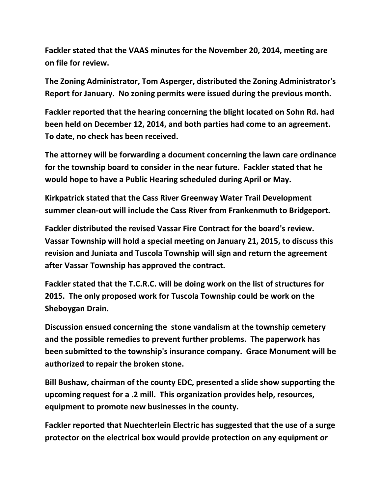**Fackler stated that the VAAS minutes for the November 20, 2014, meeting are on file for review.** 

**The Zoning Administrator, Tom Asperger, distributed the Zoning Administrator's Report for January. No zoning permits were issued during the previous month.** 

**Fackler reported that the hearing concerning the blight located on Sohn Rd. had been held on December 12, 2014, and both parties had come to an agreement. To date, no check has been received.** 

**The attorney will be forwarding a document concerning the lawn care ordinance for the township board to consider in the near future. Fackler stated that he would hope to have a Public Hearing scheduled during April or May.** 

**Kirkpatrick stated that the Cass River Greenway Water Trail Development summer clean-out will include the Cass River from Frankenmuth to Bridgeport.** 

**Fackler distributed the revised Vassar Fire Contract for the board's review. Vassar Township will hold a special meeting on January 21, 2015, to discuss this revision and Juniata and Tuscola Township will sign and return the agreement after Vassar Township has approved the contract.** 

**Fackler stated that the T.C.R.C. will be doing work on the list of structures for 2015. The only proposed work for Tuscola Township could be work on the Sheboygan Drain.** 

**Discussion ensued concerning the stone vandalism at the township cemetery and the possible remedies to prevent further problems. The paperwork has been submitted to the township's insurance company. Grace Monument will be authorized to repair the broken stone.** 

**Bill Bushaw, chairman of the county EDC, presented a slide show supporting the upcoming request for a .2 mill. This organization provides help, resources, equipment to promote new businesses in the county.** 

**Fackler reported that Nuechterlein Electric has suggested that the use of a surge protector on the electrical box would provide protection on any equipment or**